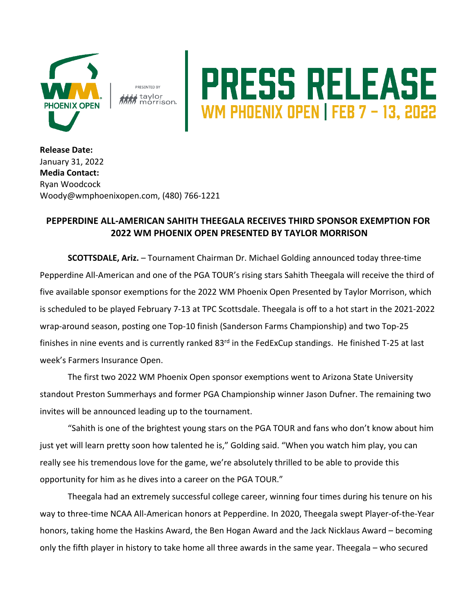

PRESENTED BY taylor

## RESS RELEASE

**Release Date:**  January 31, 2022 **Media Contact:** Ryan Woodcock Woody@wmphoenixopen.com, (480) 766-1221

## **PEPPERDINE ALL-AMERICAN SAHITH THEEGALA RECEIVES THIRD SPONSOR EXEMPTION FOR 2022 WM PHOENIX OPEN PRESENTED BY TAYLOR MORRISON**

**SCOTTSDALE, Ariz.** – Tournament Chairman Dr. Michael Golding announced today three-time Pepperdine All-American and one of the PGA TOUR's rising stars Sahith Theegala will receive the third of five available sponsor exemptions for the 2022 WM Phoenix Open Presented by Taylor Morrison, which is scheduled to be played February 7-13 at TPC Scottsdale. Theegala is off to a hot start in the 2021-2022 wrap-around season, posting one Top-10 finish (Sanderson Farms Championship) and two Top-25 finishes in nine events and is currently ranked 83<sup>rd</sup> in the FedExCup standings. He finished T-25 at last week's Farmers Insurance Open.

The first two 2022 WM Phoenix Open sponsor exemptions went to Arizona State University standout Preston Summerhays and former PGA Championship winner Jason Dufner. The remaining two invites will be announced leading up to the tournament.

"Sahith is one of the brightest young stars on the PGA TOUR and fans who don't know about him just yet will learn pretty soon how talented he is," Golding said. "When you watch him play, you can really see his tremendous love for the game, we're absolutely thrilled to be able to provide this opportunity for him as he dives into a career on the PGA TOUR."

Theegala had an extremely successful college career, winning four times during his tenure on his way to three-time NCAA All-American honors at Pepperdine. In 2020, Theegala swept Player-of-the-Year honors, taking home the Haskins Award, the Ben Hogan Award and the Jack Nicklaus Award – becoming only the fifth player in history to take home all three awards in the same year. Theegala – who secured